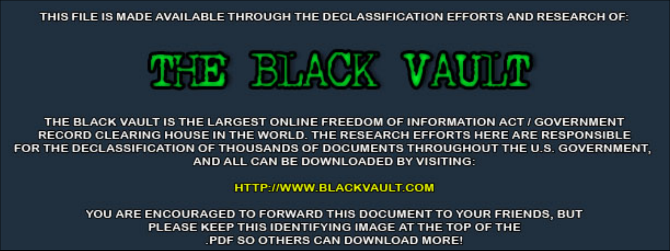THIS FILE IS MADE AVAILABLE THROUGH THE DECLASSIFICATION EFFORTS AND RESEARCH OF:



THE BLACK VAULT IS THE LARGEST ONLINE FREEDOM OF INFORMATION ACT / GOVERNMENT RECORD CLEARING HOUSE IN THE WORLD. THE RESEARCH EFFORTS HERE ARE RESPONSIBLE FOR THE DECLASSIFICATION OF THOUSANDS OF DOCUMENTS THROUGHOUT THE U.S. GOVERNMENT, AND ALL CAN BE DOWNLOADED BY VISITING:

**HTTP://WWW.BLACKVAULT.COM** 

YOU ARE ENCOURAGED TO FORWARD THIS DOCUMENT TO YOUR FRIENDS, BUT PLEASE KEEP THIS IDENTIFYING IMAGE AT THE TOP OF THE PDF SO OTHERS CAN DOWNLOAD MORE!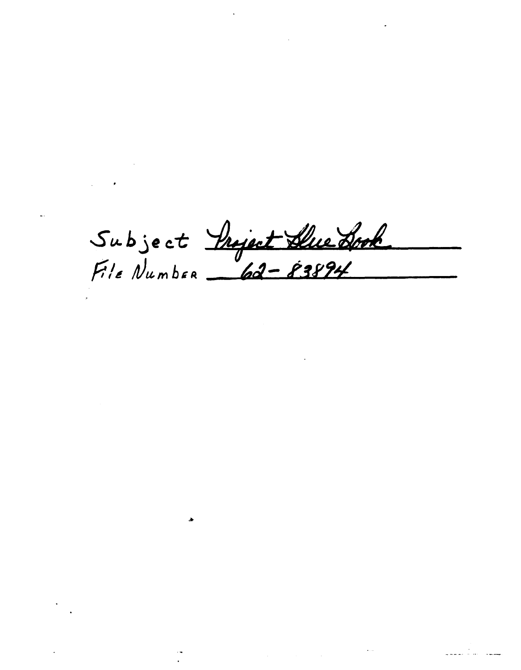Subject <u>Project Due Drok</u><br>File Number \_62-83894

 $\label{eq:2.1} \frac{1}{\sqrt{2\pi}}\int_{\mathbb{R}^3}\frac{d\mu}{\sqrt{2\pi}}\left(\frac{d\mu}{\mu}\right)^2\frac{d\mu}{\sqrt{2\pi}}\int_{\mathbb{R}^3}\frac{d\mu}{\sqrt{2\pi}}\frac{d\mu}{\sqrt{2\pi}}\frac{d\mu}{\sqrt{2\pi}}\frac{d\mu}{\sqrt{2\pi}}\frac{d\mu}{\sqrt{2\pi}}\frac{d\mu}{\sqrt{2\pi}}\frac{d\mu}{\sqrt{2\pi}}\frac{d\mu}{\sqrt{2\pi}}\frac{d\mu}{\sqrt{2\pi}}\frac{d\mu}{\$ 

 $\rightarrow$ 

 $\sigma_{\rm{max}}=0.01$ 

 $\mathcal{L}_{\text{max}}$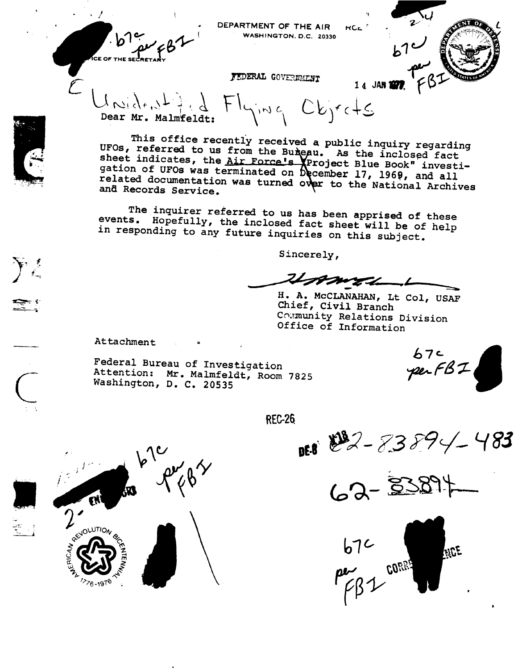**CE OF THE** 

DEPARTMENT OF THE AIR **RCE** WASHINGTON, D.C. 20330

FEDERAL GOVERNMENT

1 4 JAN 1977

 $Fl_{\gamma_{i}m\zeta}$  Objects  $\lambda \sim \lambda_{f}$   $\lambda_{f}$   $\lambda_{f}$   $\lambda_{f}$   $\lambda_{f}$   $\lambda_{f}$   $\lambda_{f}$   $\lambda_{f}$   $\lambda_{f}$   $\lambda_{f}$   $\lambda_{f}$   $\lambda_{f}$   $\lambda_{f}$   $\lambda_{f}$   $\lambda_{f}$ 

This office recently received a public inquiry regarding UFOs, referred to us from the Bureau. As the inclosed fact sheet indicates, the Air Force's Veroject Blue Book" investigation of UFOs was terminated on December 17, 1969, and all related documentation was turned over to the National Archives and Records Service.

The inquirer referred to us has been apprised of these events. Hopefully, the inclosed fact sheet will be of help in responding to any future inquiries on this subject.

Sincerely,

 $u_{m}$ 

H. A. MCCLANAHAN, Lt Col, USAF Chief, Civil Branch Community Relations Division Office of Information

Attachment

Federal Bureau of Investigation Attention: Mr. Malmfeldt, Room 7825 Washington, D. C. 20535

 $67c$ <br>per $FB2$ 

**REC-26** 

DES 22-83894

62-33894



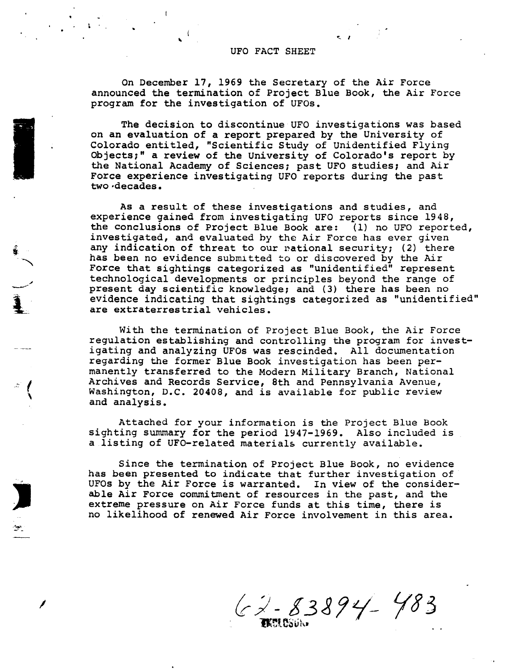## UFO FACT SHEET

**<sup>2</sup>** -. \_ **<sup>I</sup>** <sup>n</sup> <sup>1</sup>

 $\cdot$   $\cdot$ 

On December 17, 1969 the Secretary of the Air **Force** announced the termination of Project Blue Book, the Air Force program for the investigation of UFOs.

The decision to discontinue UFO investigations was based on an evaluation of **a** report prepared by the University of Colorado entitled, "Scientific Study of Unidentified Flyi Objects;" **a** review of the University of Colorado's report by the National Academy of Sciences; past UFO studies; and Air Force experience investigating UFO reports during the past two-decades. .

As **a** result of these investigations and studies, and experience gained from investigating UFO reports **since** 1948, the conclusions of Project Blue Book are: (1) no UFO reported, investigated, and evaluated by the Air Force has ever given any indication of threat to our national security; (2) th has been no evidence submitted to or discovered by the Ai Force that sightings categorized as "unidentified" repres $\epsilon$ technological developments or principles beyond the range of present day scientific knowledge; and (3) there has been no evidence **indicating** that **sightings** categorized **as** "unidentified are extraterrestrial vehicles.

gs. 92  $\bullet$   $\qquad \bullet$   $\qquad \bullet$   $\qquad$   $\qquad$   $\qquad$   $\qquad$   $\qquad$   $\qquad$   $\qquad$   $\qquad$   $\qquad$   $\qquad$   $\qquad$   $\qquad$   $\qquad$   $\qquad$   $\qquad$   $\qquad$   $\qquad$   $\qquad$   $\qquad$   $\qquad$   $\qquad$   $\qquad$   $\qquad$   $\qquad$   $\qquad$   $\qquad$   $\qquad$   $\qquad$   $\qquad$   $\qquad$   $\qquad$   $\qquad$   $\qquad$   $\$ 

 $\mathbf{L}$ 

 $\epsilon$ **5**

".1

**I**

\*2

**with** the termination of Project Blue Book, the Air Force regulation establishing and controlling the program for investigating and analyzing UFOs was rescinded. All documentation regarding the former Blue Book investigation has been permanently transferred to the Modern Military Branch, National Archives and Records Service, 8th and Pennsylvania Avenue, Washington, D.C. 20408, and is available for public review and analysis.

Attached for your information **is** the Project Blue Book sighting summary for the period 1947-1969. Also included is **a** listing of UFO-related materials currently available.

Since the termination of Project Blue Book, no evidence has been presented to indicate that further investigation of UFOs by the Air **Force is** warranted. In view of the considerable Air **Force** commitment of **resources** in the past, and the extreme pressure on Air **Force** funds at **this** time, there **is** no likelihood of renewed Air **Force** involvement **in** this area.

 $62 - 83894 - 483$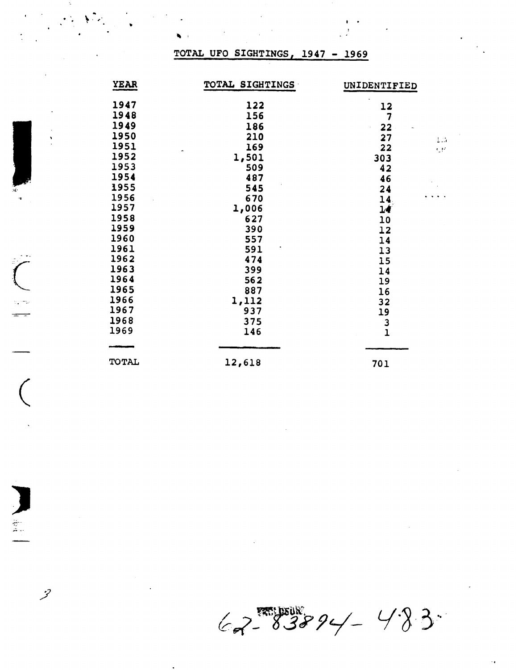## TOTAL UFO SIGHTINGS, 1947 - 1969

 $\mathcal{F}(\mathcal{G})$ 

 $\overline{C}$ 

 $\mathcal{Z}$ 

| YEAR  | TOTAL SIGHTINGS | UNIDENTIFIED    |
|-------|-----------------|-----------------|
| 1947  | 122             | 12              |
| 1948  | 156             | 7               |
| 1949  | 186             | 22              |
| 1950  | 210             | 27<br>$\sim 10$ |
| 1951  | 169             | 22<br><b>CP</b> |
| 1952  | 1,501           | 303             |
| 1953  | 509             | 42              |
| 1954  | 487             | 46              |
| 1955  | 545             | 24              |
| 1956  | 670             | 14              |
| 1957  | 1,006           | 14              |
| 1958  | 627             | 10              |
| 1959  | 390             | 12              |
| 1960  | 557             | 14              |
| 1961  | 591             | 13              |
| 1962  | 474             | 15              |
| 1963  | 399             | 14              |
| 1964  | 562             | 19              |
| 1965  | 887             | 16              |
| 1966  | 1,112           | 32              |
| 1967  | 937             | 19              |
| 1968  | 375             |                 |
| 1969  | 146             | $\frac{3}{1}$   |
|       |                 |                 |
| TOTAL | 12,618          | 701             |
|       |                 |                 |

 $62 - 83894 - 483$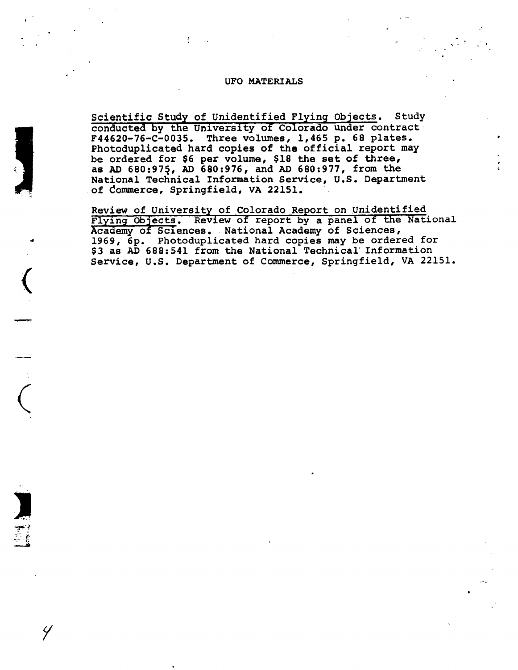## UFO MATERIALS

**H**  $\frac{1}{2}$  **H**  $\frac{1}{2}$  **H**  $\frac{1}{2}$  **H**  $\frac{1}{2}$  **H**  $\frac{1}{2}$  **H**  $\frac{1}{2}$  **H**  $\frac{1}{2}$  **H**  $\frac{1}{2}$  **H**  $\frac{1}{2}$  **H**  $\frac{1}{2}$  **H**  $\frac{1}{2}$  **H**  $\frac{1}{2}$  **H**  $\frac{1}{2}$  **H**  $\frac{1}{2}$  **H**  $\frac{1}{2}$  **H**  $\frac{1}{2}$ 

I

î,

-1

-1-

 $\left($ 

**l** ma

Y

Scientific Study of Unidentified Flying Objects. Study conducted by the University of Colorado under contract F44620-76-C-0035. Three volumes, 1,465 p. 68 plates. Photoduplicated hard copies of the official report may be ordered for \$6 per volume, \$18 the set of three, as AD 68O:975, AD 680:976, and AD 680:977, from the National Technical Information Service, U.S. Department of Commerce, Springfield, VA 22151. **T**

Review of University of Colorado Report on Unidentified<br>Flying Objects. Review of report by a panel of the National Academy of Sciences. National Academy of Sciences, **1969,** 6p. Photoduplicated hard copies may be ordered for **\$3** as AD 688:54l from the National Technical Information Service, U.S. Department of Commerce, Springfield, VA 22151.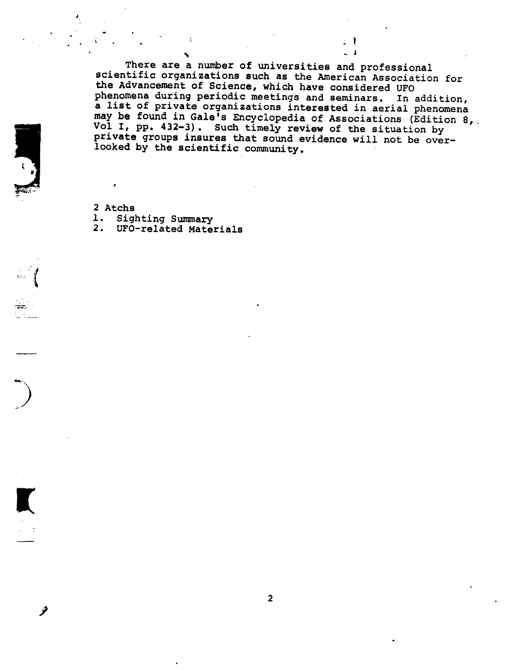There are a number of universities and professional scientific organizations such as the American Association for the Advancement of Science, which have considered UFO phenomena during periodic meetings and seminars. In addition, a list of private organizations interested in aerial phenomena may be found in Gale<sup>i</sup>s Encyclopedia of Associations (Edition 8, Vol I, pp. 432-3). Such timely review of the situation by private groups insures that sound evidence will not be overlooked by the scientific community. looked by the scientific community.

92- \_ **<** ; **I**

2 Atchs

**-** -1

.,.>. RI

**4 !**

**I**

فخر

**i**

 $\overline{A}$ 

- 1. Sighting Summary
- 2. UFO-related Materials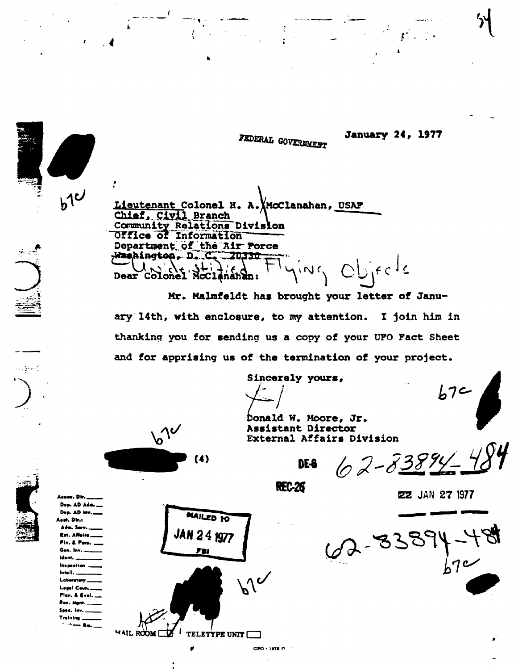FEDERAL GOVERNMENT

**January 24, 1977** 

Lieutenant Colonel H. A. McClanahan, USAF Chief, Civil Branch Community Relations Division Office of Information Department of the Air Porce Washington, D. C. 70330  $O^{\text{b}}$  if  $c$   $c$  $\sqrt{N}$ Dear Colonel McClananan:

Mr. Malmfeldt has brought your letter of January 14th, with enclosure, to my attention. I join him in thanking you for sending us a copy of your UFO Fact Sheet and for apprising us of the termination of your project.

Sincerely yours,

**REC-26** 

Donald W. Moore, Jr. Assistant Director

DE-8

External Affairs Division

 $62 - 83894$ 

 $b7c$ 

**22 JAN 27 1977** 



Assec. Dir. Dep. AD Adm. Dep. AD lav.\_ **Anat, Dir.:** 

 $b1$ 

Adm. Serv Ext. Affairs. Fin. & Pars. Gen. Inv. Ident. **Inspection** Intell.\_ Laboratory Legal Coun. Plan, & Eval., Rec. Mant. Spec. Inv. \_ Training. *Chang Bay* 



GPO : 1976 (P. 1)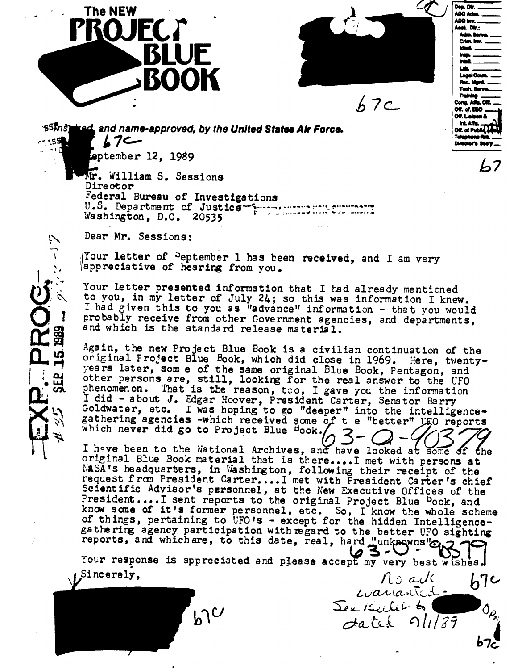



Dep. Dir. DQH.\_.\_ lDOl@.i.\_ LDDIIV.

AQN;

Cong. Afts. 012.<br>Off. of EEO ....

 $\begin{picture}(18,14) \put(0,0){\line(1,0){15}} \put(1,0){\line(1,0){15}} \put(1,0){\line(1,0){15}} \put(1,0){\line(1,0){15}} \put(1,0){\line(1,0){15}} \put(1,0){\line(1,0){15}} \put(1,0){\line(1,0){15}} \put(1,0){\line(1,0){15}} \put(1,0){\line(1,0){15}} \put(1,0){\line(1,0){15}} \put(1,0){\line(1,0){15}} \put(1,0){\line(1,0){15}} \put(1,$ 

 $\sqrt{2}$  $\overline{a}$ 

Off. L<mark>ialac</mark><br>- Int. Affe.<br>Off. of Pub

n un r<br><mark>lapha</mark><br>rector

Atn.larn.\_

 $67c$ 

SSMS1 red and name-approved, by the United States Air Force.<br>  $\sqrt{2}$ <br>
September 12, 1989  $17$ 'nQ **92**

 $Mr.$  William S. Sessions Director<br>Federal Bureau of Investigations 1- 12, 1989 Washington, D.C. 20535

Desm pear Mr. Seasions:

PROG-

Your letter of <sup>D</sup>eptember 1 has been received, and I am very appreciative of hearing from you.

 $\mathbf{r}$ probably receive from other Government agencies, and departments, and which is the standard release material.

Again, the new Project Blue Book is a civilian continuation of the original Project Blue Book, which did close in 1969. Here, twenty-<br>years later, som e of the same original Blue Book, Pentagon, and other persons are, still, looking for the real answer to the UFO phenomenon. That is the reason, too, I gave you the information I did - about J. Edgar Hocver, President Carter, Senator Barry Goldwater, etc. I was hoping to go "deeper" into the intelligencegathering agencies -which received some of t e "better" UFO reports which never did go to Project Blue Book.

 $\frac{1}{2}$  is the new Project Blue Book and the Leonard Bosse Book of the Book of the Book material that is there is the pitch personal original proe book waterial that is there....I met with persons at<br>NASA's headquarters, in Washington, following their receipt of the MASA's headquarters, in Washington, following their receipt of the request from President Carter....I met with President Carter's chief Scientific Advisor's personnel, at the New Executive Offices of the President.... I sent reports to the original Project Blue <sup>b</sup>ook, and know some of it's former personnel, etc. So, I know the whole scheme of things, pertaining to UFO's - except for the hidden Intelligence-Goldware Goldware into the recent of things, pertaining to UFO's - except for the hidden Intelligence-<br>gathering agency participation with regard to the better UFO sighting<br>reports, and which are, to this date, real, hard I have been to the second archives of the sector of D and Hunknowns" and which are, to this date, real, hard "unknowns" and  $\sum_{n=1}^{\infty}$ 

Your response is appreciated and please accept my very best wishes.  $\nu^{\text{Sineerely}}$ , in  $\Lambda$  said  $\lambda$ 

Your response **is** appreciated **and** please accep?my very best wishes.

request **fran** President Carter....I met **with** President Carter's chief Scientific Adviser's personnel, **at** the New Executive **Offices of** the  $\mathcal{L}_{\text{max}}$  See Keelik by  $k_0$  $\overline{a}$  **p**  $\overline{b}$   $\overline{b}$   $\overline{c}$   $\overline{d}$   $\overline{c}$   $\overline{c}$   $\overline{c}$   $\overline{c}$   $\overline{c}$   $\overline{c}$   $\overline{c}$   $\overline{c}$   $\overline{c}$   $\overline{c}$   $\overline{c}$   $\overline{c}$   $\overline{c}$   $\overline{c}$   $\overline{c}$   $\overline{c}$   $\overline{c}$   $\overline{c}$   $\overline{c}$  gathering agency participation with regard to the better UFO sighting reports, and whichare, to this date, **real,** hardéun@wns'@&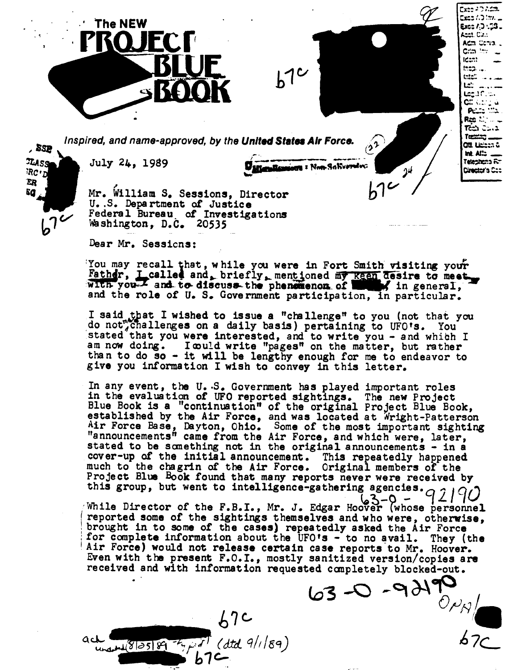Inspired, and name-approved, by the United States Air Force.

 $55<sub>2</sub>$ **TMSS**  $RCD$ ER Ea  $b^7$ 

د د

 $448189789767$ 

July 24, 1989

The NEW

Mr. William S. Sessions, Director U.S. Department of Justice Federal Bureau of Investigations Washington, D.C. 20535

Dear Mr. Sessions:

You may recall that, while you were in Fort Smith visiting your Father, I called and, briefly, mentioned my keen desire to meet and the role of U. S. Government participation, in particular.

 $b1c$ 

Lette Handson : Non-Saltverster

 $(2)$ 

 $b^{\gamma}$ 

 $24$ 

Exec 40 Adm. \_ .wit ו הו במצם

Exoc 7,3 : 58 . Anni Cu. Adm Corvo. Crim Inv idam:

**Off Lighters &** 

Telephona RT

**Cirector's Cap** 

int. Afin .

inep. that ...  $L2^{\prime}$  and  $L2^{\prime}$ التاركاليوما ດລັ∛ປະ **PELLE THE** Red Marie د.ت نتة Tœmm \_

I said that I wished to issue a "challenge" to you (not that you do not challenges on a daily basis) pertaining to UFO's. You stated that you were interested, and to write you - and which I am now doing. I could write "pages" on the matter, but rather than to do so - it will be lengthy enough for me to endeavor to give you information I wish to convey in this letter.

In any event, the U.S. Government has played important roles in the evaluation of UFO reported sightings. The new Project Blue Book is a "continuation" of the original Project Blue Book, established by the Air Force, and was located at Wright-Patterson Air Force Base, Dayton, Ohio. Some of the most important sighting "announcements" came from the Air Force, and which were, later, stated to be something not in the original announcements - in a cover-up of the initial announcement. This repeatedly happened much to the chagrin of the Air Force. Original members of the Project Blue Book found that many reports never were received by this group, but went to intelligence-gathering agencies.  $\sigma$ 

 $63 - 0$ While Director of the F.B.I., Mr. J. Edgar Hoover (whose personnel reported some of the sightings themselves and who were, otherwise, brought in to some of the cases) repeatedly asked the Air Force for complete information about the UFO's - to no avail. They (the )'s<br>case report<br>sanitized version,<br>ed completely blocked-or<br> $63 - 9$   $\frac{190}{0}$ <br> $\frac{67}{0}$ Air Force) would not release certain case reports to Mr. Hoover. Even with the present F.O.I., mostly sanitized version/copies are received and with information requested completely blocked-out.

 $67c$ 

 $b7$ 

 $(dtd. 9/169)$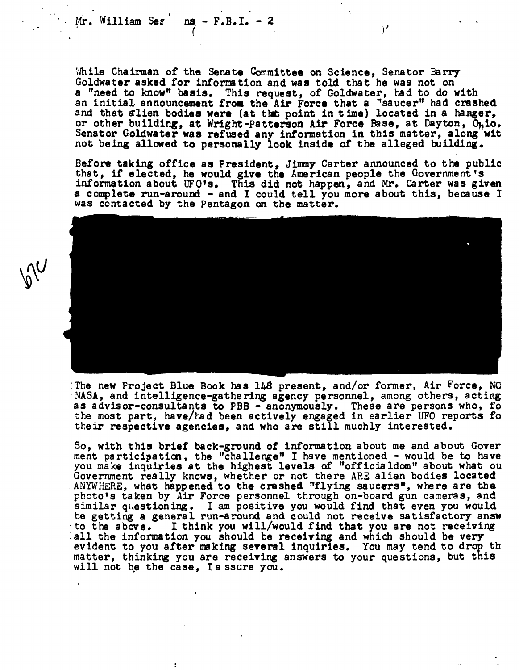$Mr.$  William Ses ns **-** F.B.I. **-** 2

 $\overline{\cdot}$ 

while Chairman of the Senate Committee on Science, Senator Barry Goldwater asked for information and was told that he was not on a "need to know" basis. This request, of Goldwater, had to do with an initial announcement from the Air Force that a "saucer" had crash and that alien bodies were (at the point in time) located in a hanger, or other building, at Wright-Patterson Air Force Base, at Dayton, Ohio. Senator Goldwater was refused any information in this matter, along wit not **being** allowed to personally look inside of the alleged building.

Before taking office as President, **Jimmy** Carter announced to the public that, if elected, he would give the American people the Government's information about UFO's. This did not happen, and Mr. Carter was given a complete run-around - and I could tell you more about this, because I was contacted by the Pentagon on the matter.

The new Project Blue Book has 148 present, and/or former, Air Force, NC NASA, and intelligence-gathering agency personnel, among others, acting as advisor-consultants to PBB - anonymously. These are persons who, fo the most part, have/had been actively engaged **in** earlier UFO reports fo their respective agencies, and who are **still** muchly interested.

So, with this brief back-ground of information about me and about Gover ment participation, the "challenge" I have mentioned - would be to have you make inquiries at the highest levels of "officialdom" about what ou Government really knows, whether or not there ARE **alien** bodies located ANYWHERE, what happened to **the** crashed "flying saucers", where are the photo's taken by Air Force personnel through on-board gun cameras, and similar questioning. I am positive you would find that even you would be getting a general run-around and could not receive satisfactory answ to the above. I think you will/would find that you are not receiving all the information you should be receiving and which should be very evident to you after making several inquiries. You may tend to drop th matter, thinking you are receiving answers to your questions, but this will not be the case, Ia ssure you.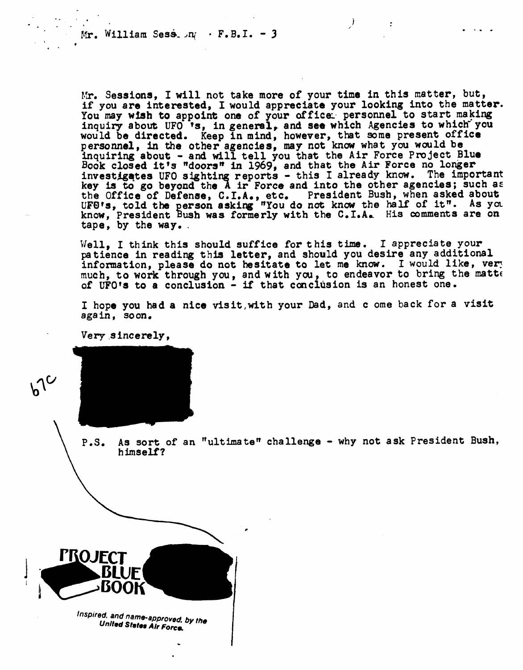Mr. William Sess.  $n_i$  · F.B.I. - 3

**1 b**  $\mathbf{1}$  /1 **b**  $\mathbf{1}$  /1 **b**  $\mathbf{1}$  /1 **b**  $\mathbf{1}$  /1 **b**  $\mathbf{1}$  /1 **b**  $\mathbf{1}$  /1 **b**  $\mathbf{1}$  /1 **b**  $\mathbf{1}$ 

Mr. Sessions, I will not take more of your time in this matter, but, if you are interested, I would appreciate your looking into the matter. You may wish to appoint one of your office: personnel to start making inquiry about UFO 's, in general, and see which Agencies to which you would be directed. Keep in mind, however, that some present office personnel, in the other agencies, may not know **what** you would be inquiring about **-** and will tell you **that the** Air Force Project Blue Book closed it's "doors" in 1969, and that the Air Force no longer<br>investigates UFO sighting reports - this I already know. The important key is to go beyond the A ir Force and into the other agencies; such as the Office of Defense, C.I.A., etc. President Bush, when asked about UFO's, told the person asking "You do not know the half of it". As you know, President Bush was formerly with the C.I.A. His comments are on tape, by **the** way..

Well, I **think** this should suffice for this time. I appreciate your patience in reading this letter, and should you desire any additional infonnation, please do not hesitate to let **me** know. I would like, ver; much, to work through you, and with you, to endeavor to bring **the** matte of UFO's to a conclusion **-** if that conclusion is an honest one.

I hope you had a nice visit,with your Dad, and **c** ome back for **a** visit again, soon.

Very sincerely ,



P.S. As sort of an "ultimate" challenge **-** why not ask President Bush, himself?

**I**



Inspired, and name-approved, by the<br>United States Air Force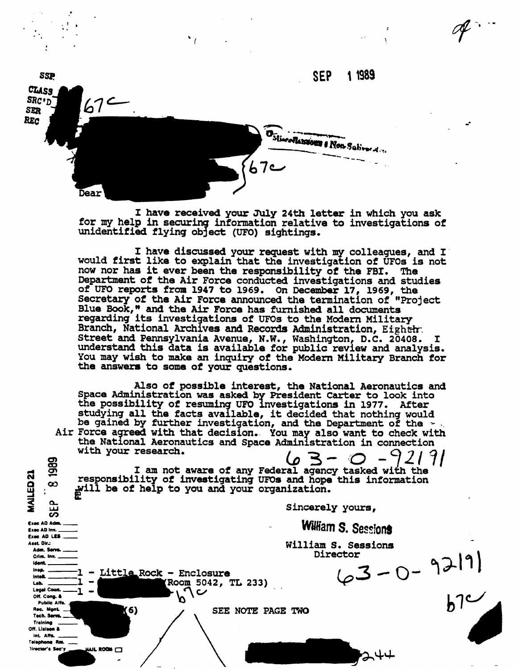

I have received your July 24th letter in which you ask for my help in securing information relative to investigations of unidentified flying object (UFO) sightings.

I have discussed your request with my colleagues, and I would first like to explain that the investigation of UFOs is not now nor has it ever been the responsibility of the FBI. The Department of the Air Force conducted investigations and studies of UFO reports from 1947 to 1969. On December 17, 1969, the Secretary of the Air Force announced the termination of "Project Blue Book," and the Air Force has furnished all documents regarding its investigations of UFOs to the Modern Military Branch, National Archives and Records Administration, Eighthr. Street and Pennsylvania Avenue, N.W., Washington, D.C. 20408. I understand this data is available for public review and analysis. You may wish to make an inquiry of the Modern Military Branch for the answers to some of your questions.

Also of possible interest, the National Aeronautics and Space Administration was asked by President Carter to look into the possibility of resuming UFO Investigations in 1977. After studying all the facts available, it decided that nothing would be gained by further investigation, and the Department of the  $\sim$ Air Force agreed with that decision. You may also want to check with the National Aeronautics and Space Administration in connection with your research.

<u>्व</u> 1989 0) I am not aware of any Federal agency tasked with the responsibility of investigating UFOs and hope this information  $\infty$ guill be of help to you and your organization.

1 - Little Rock - Enclosure

 $(6)$ 

MAILED<sub>21</sub>

この

Exec AD Adm. Exec AD Inv. Exec AD LES Asst. Dir.:

Adm. Serve.

Crim. Inv. **Ident.** Insa.

Off. Cong. &

Tech. Serve. Training Off. Lisiana & Int. Affa. Telephone Rm.

**Tirector's Sec'v** 

Public Affs. Rec. Mant.

 $\mathbf{1}$ 

WAIL ROOM

**Intell** 

**Lab.** Legal Coun. Sincerely yours,

William S. Sessions

William S. Sessions Director

 $63 - 0 - 9219$ 

 $\mathscr{A}$ .

SEE NOTE PAGE TWO

(Room 5042, TL 233)

ヽ〜

N